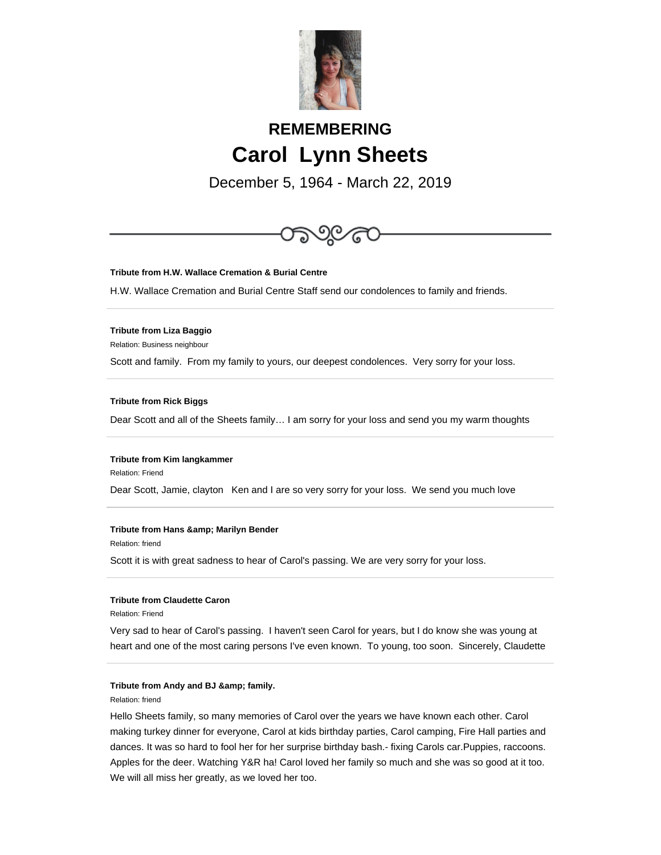

# **REMEMBERING Carol Lynn Sheets**

December 5, 1964 - March 22, 2019



**Tribute from H.W. Wallace Cremation & Burial Centre**

H.W. Wallace Cremation and Burial Centre Staff send our condolences to family and friends.

## **Tribute from Liza Baggio**

Relation: Business neighbour

Scott and family. From my family to yours, our deepest condolences. Very sorry for your loss.

#### **Tribute from Rick Biggs**

Dear Scott and all of the Sheets family… I am sorry for your loss and send you my warm thoughts

# **Tribute from Kim langkammer**

Relation: Friend

Dear Scott, Jamie, clayton Ken and I are so very sorry for your loss. We send you much love

#### **Tribute from Hans & amp; Marilyn Bender**

Relation: friend

Scott it is with great sadness to hear of Carol's passing. We are very sorry for your loss.

# **Tribute from Claudette Caron**

Relation: Friend

Very sad to hear of Carol's passing. I haven't seen Carol for years, but I do know she was young at heart and one of the most caring persons I've even known. To young, too soon. Sincerely, Claudette

#### **Tribute from Andy and BJ & amp; family.**

Relation: friend

Hello Sheets family, so many memories of Carol over the years we have known each other. Carol making turkey dinner for everyone, Carol at kids birthday parties, Carol camping, Fire Hall parties and dances. It was so hard to fool her for her surprise birthday bash.- fixing Carols car.Puppies, raccoons. Apples for the deer. Watching Y&R ha! Carol loved her family so much and she was so good at it too. We will all miss her greatly, as we loved her too.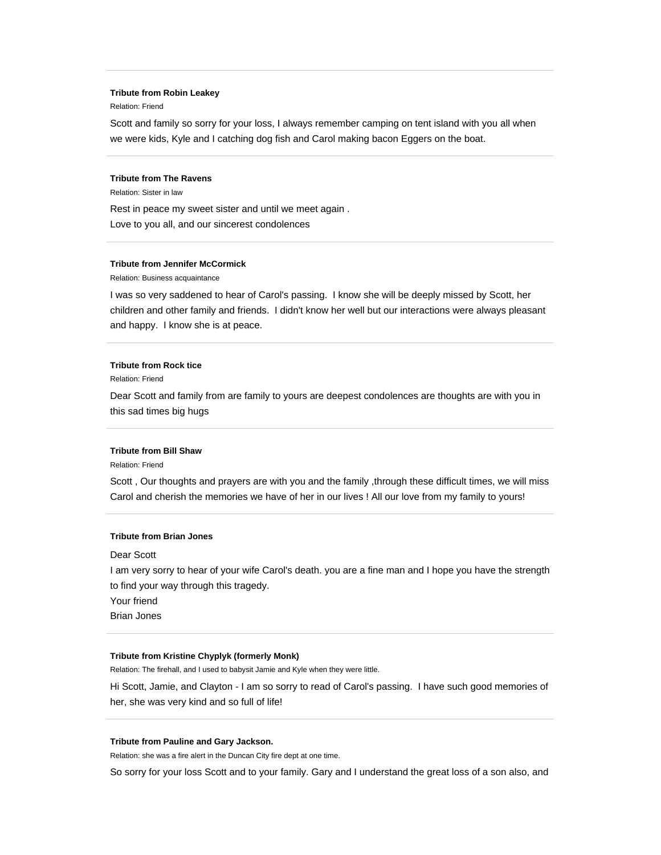#### **Tribute from Robin Leakey**

Relation: Friend

Scott and family so sorry for your loss, I always remember camping on tent island with you all when we were kids, Kyle and I catching dog fish and Carol making bacon Eggers on the boat.

# **Tribute from The Ravens**

Relation: Sister in law

Rest in peace my sweet sister and until we meet again . Love to you all, and our sincerest condolences

#### **Tribute from Jennifer McCormick**

Relation: Business acquaintance

I was so very saddened to hear of Carol's passing. I know she will be deeply missed by Scott, her children and other family and friends. I didn't know her well but our interactions were always pleasant and happy. I know she is at peace.

## **Tribute from Rock tice**

Relation: Friend

Dear Scott and family from are family to yours are deepest condolences are thoughts are with you in this sad times big hugs

## **Tribute from Bill Shaw**

Relation: Friend

Scott , Our thoughts and prayers are with you and the family ,through these difficult times, we will miss Carol and cherish the memories we have of her in our lives ! All our love from my family to yours!

## **Tribute from Brian Jones**

Dear Scott

I am very sorry to hear of your wife Carol's death. you are a fine man and I hope you have the strength to find your way through this tragedy.

Your friend

Brian Jones

# **Tribute from Kristine Chyplyk (formerly Monk)**

Relation: The firehall, and I used to babysit Jamie and Kyle when they were little.

Hi Scott, Jamie, and Clayton - I am so sorry to read of Carol's passing. I have such good memories of her, she was very kind and so full of life!

## **Tribute from Pauline and Gary Jackson.**

Relation: she was a fire alert in the Duncan City fire dept at one time.

So sorry for your loss Scott and to your family. Gary and I understand the great loss of a son also, and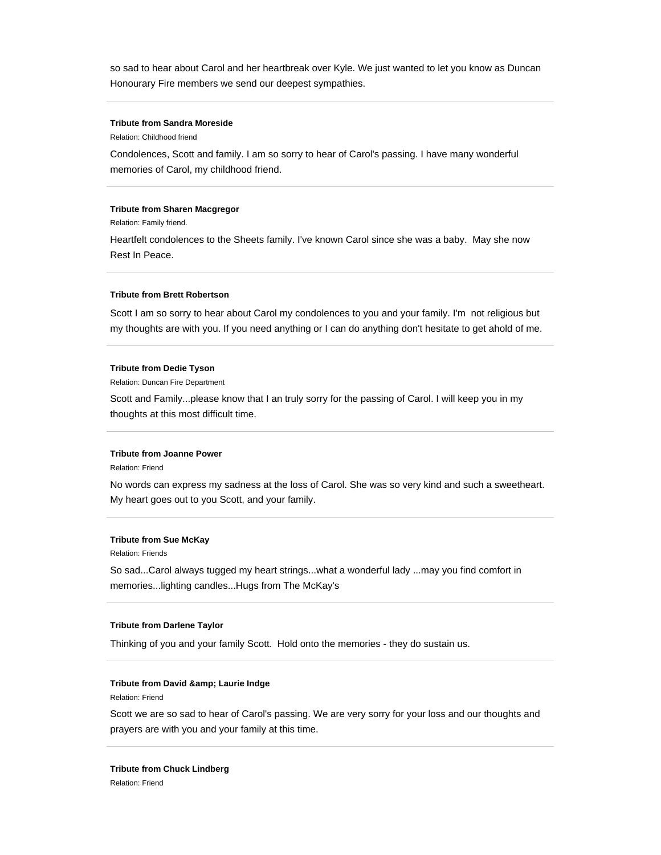so sad to hear about Carol and her heartbreak over Kyle. We just wanted to let you know as Duncan Honourary Fire members we send our deepest sympathies.

# **Tribute from Sandra Moreside**

Relation: Childhood friend

Condolences, Scott and family. I am so sorry to hear of Carol's passing. I have many wonderful memories of Carol, my childhood friend.

## **Tribute from Sharen Macgregor**

Relation: Family friend.

Heartfelt condolences to the Sheets family. I've known Carol since she was a baby. May she now Rest In Peace.

## **Tribute from Brett Robertson**

Scott I am so sorry to hear about Carol my condolences to you and your family. I'm not religious but my thoughts are with you. If you need anything or I can do anything don't hesitate to get ahold of me.

## **Tribute from Dedie Tyson**

Relation: Duncan Fire Department

Scott and Family...please know that I an truly sorry for the passing of Carol. I will keep you in my thoughts at this most difficult time.

## **Tribute from Joanne Power**

Relation: Friend

No words can express my sadness at the loss of Carol. She was so very kind and such a sweetheart. My heart goes out to you Scott, and your family.

## **Tribute from Sue McKay**

Relation: Friends

So sad...Carol always tugged my heart strings...what a wonderful lady ...may you find comfort in memories...lighting candles...Hugs from The McKay's

## **Tribute from Darlene Taylor**

Thinking of you and your family Scott. Hold onto the memories - they do sustain us.

# **Tribute from David & amp; Laurie Indge**

Relation: Friend

Scott we are so sad to hear of Carol's passing. We are very sorry for your loss and our thoughts and prayers are with you and your family at this time.

**Tribute from Chuck Lindberg** Relation: Friend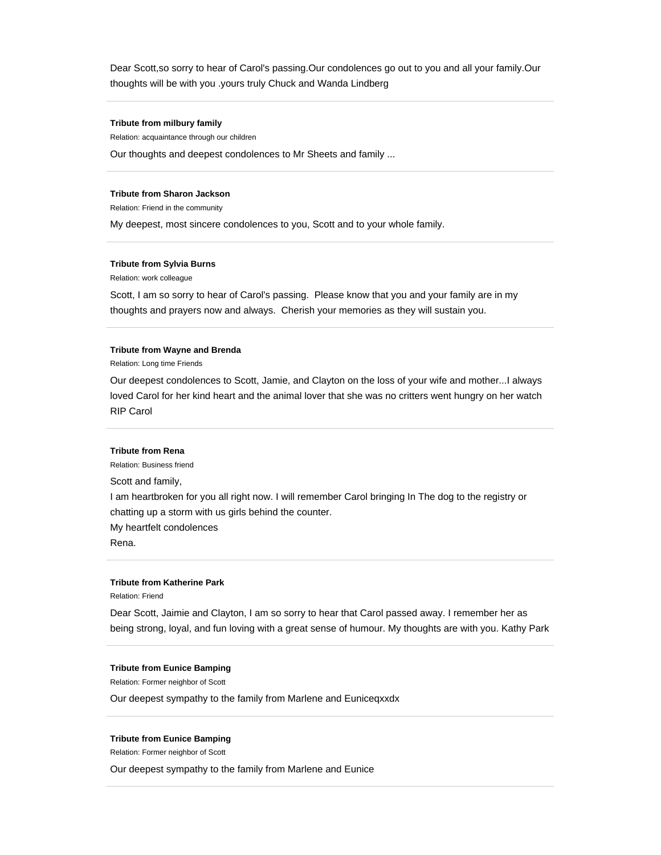Dear Scott,so sorry to hear of Carol's passing.Our condolences go out to you and all your family.Our thoughts will be with you .yours truly Chuck and Wanda Lindberg

# **Tribute from milbury family**

Relation: acquaintance through our children Our thoughts and deepest condolences to Mr Sheets and family ...

#### **Tribute from Sharon Jackson**

Relation: Friend in the community

My deepest, most sincere condolences to you, Scott and to your whole family.

## **Tribute from Sylvia Burns**

Relation: work colleague

Scott, I am so sorry to hear of Carol's passing. Please know that you and your family are in my thoughts and prayers now and always. Cherish your memories as they will sustain you.

#### **Tribute from Wayne and Brenda**

Relation: Long time Friends

Our deepest condolences to Scott, Jamie, and Clayton on the loss of your wife and mother...I always loved Carol for her kind heart and the animal lover that she was no critters went hungry on her watch RIP Carol

#### **Tribute from Rena**

Relation: Business friend

Scott and family,

I am heartbroken for you all right now. I will remember Carol bringing In The dog to the registry or chatting up a storm with us girls behind the counter. My heartfelt condolences

Rena.

## **Tribute from Katherine Park**

Relation: Friend

Dear Scott, Jaimie and Clayton, I am so sorry to hear that Carol passed away. I remember her as being strong, loyal, and fun loving with a great sense of humour. My thoughts are with you. Kathy Park

#### **Tribute from Eunice Bamping**

Relation: Former neighbor of Scott

Our deepest sympathy to the family from Marlene and Euniceqxxdx

#### **Tribute from Eunice Bamping**

Relation: Former neighbor of Scott

Our deepest sympathy to the family from Marlene and Eunice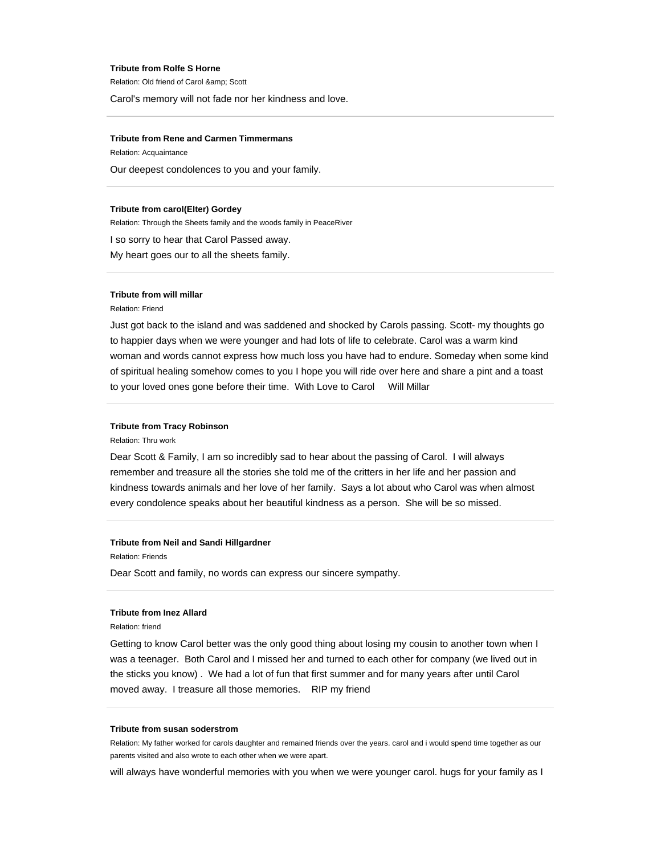#### **Tribute from Rolfe S Horne**

Relation: Old friend of Carol & amp; Scott

Carol's memory will not fade nor her kindness and love.

## **Tribute from Rene and Carmen Timmermans**

Relation: Acquaintance Our deepest condolences to you and your family.

# **Tribute from carol(Elter) Gordey**

Relation: Through the Sheets family and the woods family in PeaceRiver

I so sorry to hear that Carol Passed away.

My heart goes our to all the sheets family.

#### **Tribute from will millar**

Relation: Friend

Just got back to the island and was saddened and shocked by Carols passing. Scott- my thoughts go to happier days when we were younger and had lots of life to celebrate. Carol was a warm kind woman and words cannot express how much loss you have had to endure. Someday when some kind of spiritual healing somehow comes to you I hope you will ride over here and share a pint and a toast to your loved ones gone before their time. With Love to Carol Will Millar

# **Tribute from Tracy Robinson**

Relation: Thru work

Dear Scott & Family, I am so incredibly sad to hear about the passing of Carol. I will always remember and treasure all the stories she told me of the critters in her life and her passion and kindness towards animals and her love of her family. Says a lot about who Carol was when almost every condolence speaks about her beautiful kindness as a person. She will be so missed.

## **Tribute from Neil and Sandi Hillgardner**

Relation: Friends

Dear Scott and family, no words can express our sincere sympathy.

## **Tribute from Inez Allard**

Relation: friend

Getting to know Carol better was the only good thing about losing my cousin to another town when I was a teenager. Both Carol and I missed her and turned to each other for company (we lived out in the sticks you know) . We had a lot of fun that first summer and for many years after until Carol moved away. I treasure all those memories. RIP my friend

## **Tribute from susan soderstrom**

Relation: My father worked for carols daughter and remained friends over the years. carol and i would spend time together as our parents visited and also wrote to each other when we were apart.

will always have wonderful memories with you when we were younger carol. hugs for your family as I